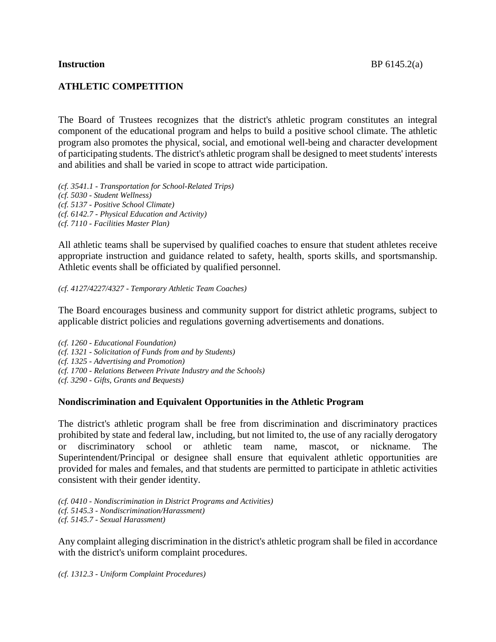## **ATHLETIC COMPETITION**

The Board of Trustees recognizes that the district's athletic program constitutes an integral component of the educational program and helps to build a positive school climate. The athletic program also promotes the physical, social, and emotional well-being and character development of participating students. The district's athletic program shall be designed to meetstudents' interests and abilities and shall be varied in scope to attract wide participation.

*(cf. 3541.1 - Transportation for School-Related Trips) (cf. 5030 - Student Wellness) (cf. 5137 - Positive School Climate) (cf. 6142.7 - Physical Education and Activity) (cf. 7110 - Facilities Master Plan)*

All athletic teams shall be supervised by qualified coaches to ensure that student athletes receive appropriate instruction and guidance related to safety, health, sports skills, and sportsmanship. Athletic events shall be officiated by qualified personnel.

*(cf. 4127/4227/4327 - Temporary Athletic Team Coaches)*

The Board encourages business and community support for district athletic programs, subject to applicable district policies and regulations governing advertisements and donations.

- *(cf. 1260 - Educational Foundation)*
- *(cf. 1321 - Solicitation of Funds from and by Students)*
- *(cf. 1325 - Advertising and Promotion)*
- *(cf. 1700 - Relations Between Private Industry and the Schools)*
- *(cf. 3290 - Gifts, Grants and Bequests)*

#### **Nondiscrimination and Equivalent Opportunities in the Athletic Program**

The district's athletic program shall be free from discrimination and discriminatory practices prohibited by state and federal law, including, but not limited to, the use of any racially derogatory or discriminatory school or athletic team name, mascot, or nickname. The Superintendent/Principal or designee shall ensure that equivalent athletic opportunities are provided for males and females, and that students are permitted to participate in athletic activities consistent with their gender identity.

*(cf. 0410 - Nondiscrimination in District Programs and Activities) (cf. 5145.3 - Nondiscrimination/Harassment) (cf. 5145.7 - Sexual Harassment)*

Any complaint alleging discrimination in the district's athletic program shall be filed in accordance with the district's uniform complaint procedures.

*(cf. 1312.3 - Uniform Complaint Procedures)*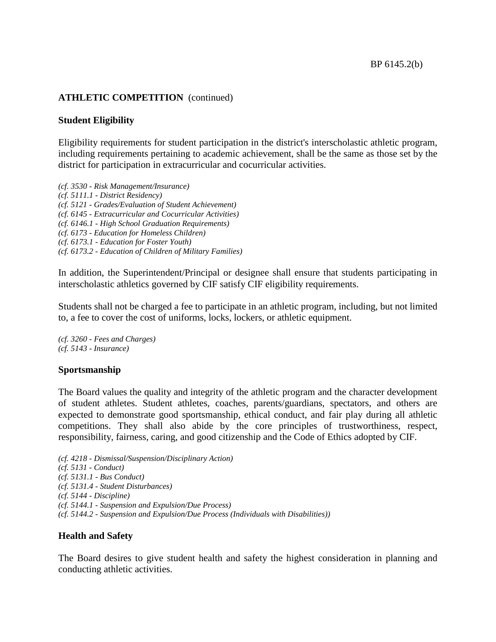#### **Student Eligibility**

Eligibility requirements for student participation in the district's interscholastic athletic program, including requirements pertaining to academic achievement, shall be the same as those set by the district for participation in extracurricular and cocurricular activities.

*(cf. 3530 - Risk Management/Insurance) (cf. 5111.1 - District Residency) (cf. 5121 - Grades/Evaluation of Student Achievement) (cf. 6145 - Extracurricular and Cocurricular Activities) (cf. 6146.1 - High School Graduation Requirements) (cf. 6173 - Education for Homeless Children) (cf. 6173.1 - Education for Foster Youth) (cf. 6173.2 - Education of Children of Military Families)*

In addition, the Superintendent/Principal or designee shall ensure that students participating in interscholastic athletics governed by CIF satisfy CIF eligibility requirements.

Students shall not be charged a fee to participate in an athletic program, including, but not limited to, a fee to cover the cost of uniforms, locks, lockers, or athletic equipment.

*(cf. 3260 - Fees and Charges) (cf. 5143 - Insurance)*

#### **Sportsmanship**

The Board values the quality and integrity of the athletic program and the character development of student athletes. Student athletes, coaches, parents/guardians, spectators, and others are expected to demonstrate good sportsmanship, ethical conduct, and fair play during all athletic competitions. They shall also abide by the core principles of trustworthiness, respect, responsibility, fairness, caring, and good citizenship and the Code of Ethics adopted by CIF.

*(cf. 4218 - Dismissal/Suspension/Disciplinary Action) (cf. 5131 - Conduct) (cf. 5131.1 - Bus Conduct) (cf. 5131.4 - Student Disturbances) (cf. 5144 - Discipline) (cf. 5144.1 - Suspension and Expulsion/Due Process) (cf. 5144.2 - Suspension and Expulsion/Due Process (Individuals with Disabilities))*

#### **Health and Safety**

The Board desires to give student health and safety the highest consideration in planning and conducting athletic activities.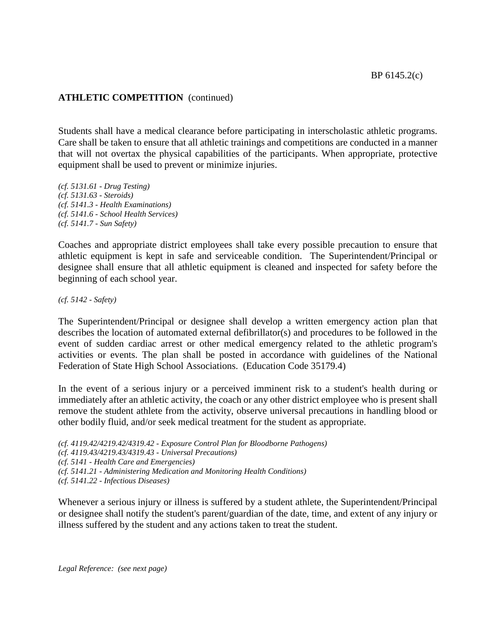Students shall have a medical clearance before participating in interscholastic athletic programs. Care shall be taken to ensure that all athletic trainings and competitions are conducted in a manner that will not overtax the physical capabilities of the participants. When appropriate, protective equipment shall be used to prevent or minimize injuries.

*(cf. 5131.61 - Drug Testing) (cf. 5131.63 - Steroids) (cf. 5141.3 - Health Examinations) (cf. 5141.6 - School Health Services) (cf. 5141.7 - Sun Safety)*

Coaches and appropriate district employees shall take every possible precaution to ensure that athletic equipment is kept in safe and serviceable condition. The Superintendent/Principal or designee shall ensure that all athletic equipment is cleaned and inspected for safety before the beginning of each school year.

*(cf. 5142 - Safety)*

The Superintendent/Principal or designee shall develop a written emergency action plan that describes the location of automated external defibrillator(s) and procedures to be followed in the event of sudden cardiac arrest or other medical emergency related to the athletic program's activities or events. The plan shall be posted in accordance with guidelines of the National Federation of State High School Associations. (Education Code 35179.4)

In the event of a serious injury or a perceived imminent risk to a student's health during or immediately after an athletic activity, the coach or any other district employee who is present shall remove the student athlete from the activity, observe universal precautions in handling blood or other bodily fluid, and/or seek medical treatment for the student as appropriate.

*(cf. 4119.42/4219.42/4319.42 - Exposure Control Plan for Bloodborne Pathogens) (cf. 4119.43/4219.43/4319.43 - Universal Precautions) (cf. 5141 - Health Care and Emergencies) (cf. 5141.21 - Administering Medication and Monitoring Health Conditions) (cf. 5141.22 - Infectious Diseases)*

Whenever a serious injury or illness is suffered by a student athlete, the Superintendent/Principal or designee shall notify the student's parent/guardian of the date, time, and extent of any injury or illness suffered by the student and any actions taken to treat the student.

*Legal Reference: (see next page)*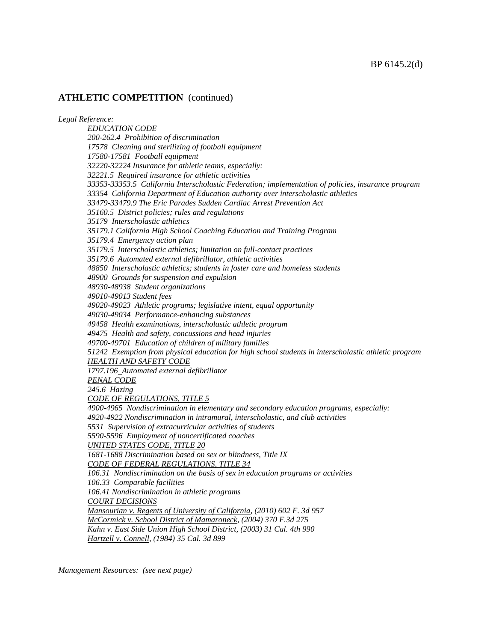*Legal Reference: EDUCATION CODE 200-262.4 Prohibition of discrimination 17578 Cleaning and sterilizing of football equipment 17580-17581 Football equipment 32220-32224 Insurance for athletic teams, especially: 32221.5 Required insurance for athletic activities 33353-33353.5 California Interscholastic Federation; implementation of policies, insurance program 33354 California Department of Education authority over interscholastic athletics 33479-33479.9 The Eric Parades Sudden Cardiac Arrest Prevention Act 35160.5 District policies; rules and regulations 35179 Interscholastic athletics 35179.1 California High School Coaching Education and Training Program 35179.4 Emergency action plan 35179.5 Interscholastic athletics; limitation on full-contact practices 35179.6 Automated external defibrillator, athletic activities 48850 Interscholastic athletics; students in foster care and homeless students 48900 Grounds for suspension and expulsion 48930-48938 Student organizations 49010-49013 Student fees 49020-49023 Athletic programs; legislative intent, equal opportunity 49030-49034 Performance-enhancing substances 49458 Health examinations, interscholastic athletic program 49475 Health and safety, concussions and head injuries 49700-49701 Education of children of military families 51242 Exemption from physical education for high school students in interscholastic athletic program HEALTH AND SAFETY CODE 1797.196 Automated external defibrillator PENAL CODE 245.6 Hazing CODE OF REGULATIONS, TITLE 5 4900-4965 Nondiscrimination in elementary and secondary education programs, especially: 4920-4922 Nondiscrimination in intramural, interscholastic, and club activities 5531 Supervision of extracurricular activities of students 5590-5596 Employment of noncertificated coaches UNITED STATES CODE, TITLE 20 1681-1688 Discrimination based on sex or blindness, Title IX CODE OF FEDERAL REGULATIONS, TITLE 34 106.31 Nondiscrimination on the basis of sex in education programs or activities 106.33 Comparable facilities 106.41 Nondiscrimination in athletic programs COURT DECISIONS Mansourian v. Regents of University of California, (2010) 602 F. 3d 957 McCormick v. School District of Mamaroneck, (2004) 370 F.3d 275 Kahn v. East Side Union High School District, (2003) 31 Cal. 4th 990 Hartzell v. Connell, (1984) 35 Cal. 3d 899*

*Management Resources: (see next page)*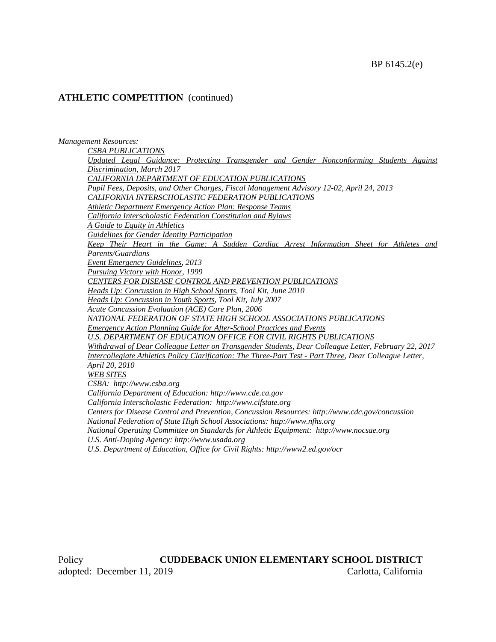#### *Management Resources:*

*CSBA PUBLICATIONS Updated Legal Guidance: Protecting Transgender and Gender Nonconforming Students Against Discrimination, March 2017 CALIFORNIA DEPARTMENT OF EDUCATION PUBLICATIONS Pupil Fees, Deposits, and Other Charges, Fiscal Management Advisory 12-02, April 24, 2013 CALIFORNIA INTERSCHOLASTIC FEDERATION PUBLICATIONS Athletic Department Emergency Action Plan: Response Teams California Interscholastic Federation Constitution and Bylaws A Guide to Equity in Athletics Guidelines for Gender Identity Participation Keep Their Heart in the Game: A Sudden Cardiac Arrest Information Sheet for Athletes and Parents/Guardians Event Emergency Guidelines, 2013 Pursuing Victory with Honor, 1999 CENTERS FOR DISEASE CONTROL AND PREVENTION PUBLICATIONS Heads Up: Concussion in High School Sports, Tool Kit, June 2010 Heads Up: Concussion in Youth Sports, Tool Kit, July 2007 Acute Concussion Evaluation (ACE) Care Plan, 2006 NATIONAL FEDERATION OF STATE HIGH SCHOOL ASSOCIATIONS PUBLICATIONS Emergency Action Planning Guide for After-School Practices and Events U.S. DEPARTMENT OF EDUCATION OFFICE FOR CIVIL RIGHTS PUBLICATIONS Withdrawal of Dear Colleague Letter on Transgender Students, Dear Colleague Letter, February 22, 2017 Intercollegiate Athletics Policy Clarification: The Three-Part Test - Part Three, Dear Colleague Letter, April 20, 2010 WEB SITES CSBA: http://www.csba.org California Department of Education: http://www.cde.ca.gov California Interscholastic Federation: http://www.cifstate.org Centers for Disease Control and Prevention, Concussion Resources: http://www.cdc.gov/concussion National Federation of State High School Associations: http://www.nfhs.org National Operating Committee on Standards for Athletic Equipment: http://www.nocsae.org U.S. Anti-Doping Agency: http://www.usada.org*

*U.S. Department of Education, Office for Civil Rights: http://www2.ed.gov/ocr*

Policy **CUDDEBACK UNION ELEMENTARY SCHOOL DISTRICT** adopted: December 11, 2019 Carlotta, California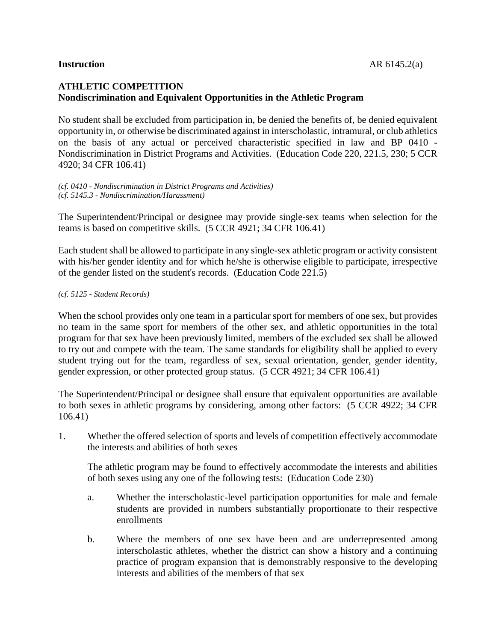# **ATHLETIC COMPETITION Nondiscrimination and Equivalent Opportunities in the Athletic Program**

No student shall be excluded from participation in, be denied the benefits of, be denied equivalent opportunity in, or otherwise be discriminated against in interscholastic, intramural, or club athletics on the basis of any actual or perceived characteristic specified in law and BP 0410 - Nondiscrimination in District Programs and Activities. (Education Code 220, 221.5, 230; 5 CCR 4920; 34 CFR 106.41)

*(cf. 0410 - Nondiscrimination in District Programs and Activities) (cf. 5145.3 - Nondiscrimination/Harassment)*

The Superintendent/Principal or designee may provide single-sex teams when selection for the teams is based on competitive skills. (5 CCR 4921; 34 CFR 106.41)

Each student shall be allowed to participate in any single-sex athletic program or activity consistent with his/her gender identity and for which he/she is otherwise eligible to participate, irrespective of the gender listed on the student's records. (Education Code 221.5)

#### *(cf. 5125 - Student Records)*

When the school provides only one team in a particular sport for members of one sex, but provides no team in the same sport for members of the other sex, and athletic opportunities in the total program for that sex have been previously limited, members of the excluded sex shall be allowed to try out and compete with the team. The same standards for eligibility shall be applied to every student trying out for the team, regardless of sex, sexual orientation, gender, gender identity, gender expression, or other protected group status. (5 CCR 4921; 34 CFR 106.41)

The Superintendent/Principal or designee shall ensure that equivalent opportunities are available to both sexes in athletic programs by considering, among other factors: (5 CCR 4922; 34 CFR 106.41)

1. Whether the offered selection of sports and levels of competition effectively accommodate the interests and abilities of both sexes

The athletic program may be found to effectively accommodate the interests and abilities of both sexes using any one of the following tests: (Education Code 230)

- a. Whether the interscholastic-level participation opportunities for male and female students are provided in numbers substantially proportionate to their respective enrollments
- b. Where the members of one sex have been and are underrepresented among interscholastic athletes, whether the district can show a history and a continuing practice of program expansion that is demonstrably responsive to the developing interests and abilities of the members of that sex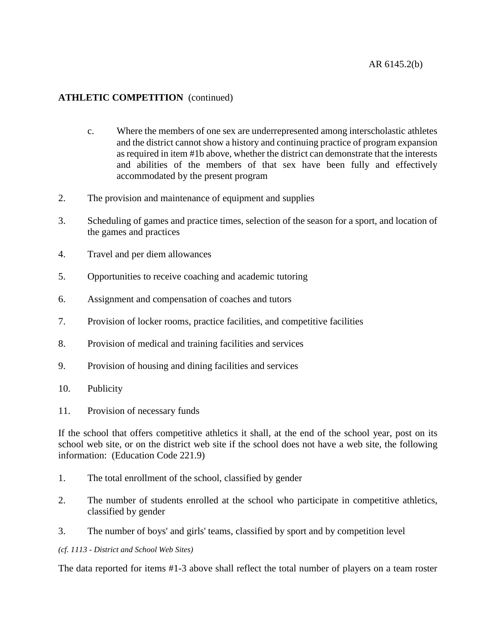- c. Where the members of one sex are underrepresented among interscholastic athletes and the district cannot show a history and continuing practice of program expansion as required in item #1b above, whether the district can demonstrate that the interests and abilities of the members of that sex have been fully and effectively accommodated by the present program
- 2. The provision and maintenance of equipment and supplies
- 3. Scheduling of games and practice times, selection of the season for a sport, and location of the games and practices
- 4. Travel and per diem allowances
- 5. Opportunities to receive coaching and academic tutoring
- 6. Assignment and compensation of coaches and tutors
- 7. Provision of locker rooms, practice facilities, and competitive facilities
- 8. Provision of medical and training facilities and services
- 9. Provision of housing and dining facilities and services
- 10. Publicity
- 11. Provision of necessary funds

If the school that offers competitive athletics it shall, at the end of the school year, post on its school web site, or on the district web site if the school does not have a web site, the following information: (Education Code 221.9)

- 1. The total enrollment of the school, classified by gender
- 2. The number of students enrolled at the school who participate in competitive athletics, classified by gender
- 3. The number of boys' and girls' teams, classified by sport and by competition level

#### *(cf. 1113 - District and School Web Sites)*

The data reported for items #1-3 above shall reflect the total number of players on a team roster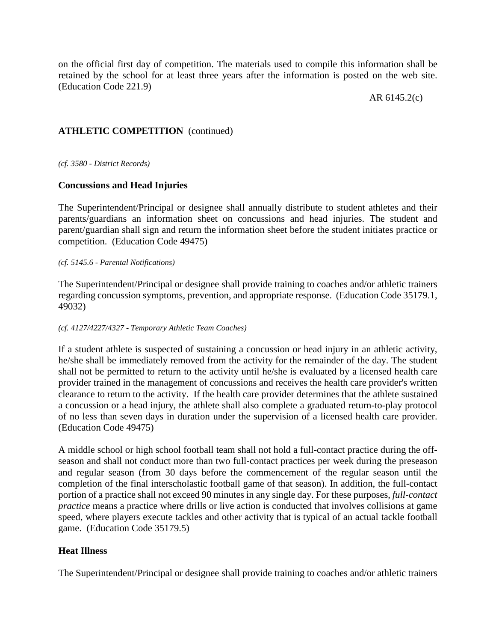on the official first day of competition. The materials used to compile this information shall be retained by the school for at least three years after the information is posted on the web site. (Education Code 221.9)

AR 6145.2(c)

# **ATHLETIC COMPETITION** (continued)

*(cf. 3580 - District Records)*

## **Concussions and Head Injuries**

The Superintendent/Principal or designee shall annually distribute to student athletes and their parents/guardians an information sheet on concussions and head injuries. The student and parent/guardian shall sign and return the information sheet before the student initiates practice or competition. (Education Code 49475)

#### *(cf. 5145.6 - Parental Notifications)*

The Superintendent/Principal or designee shall provide training to coaches and/or athletic trainers regarding concussion symptoms, prevention, and appropriate response. (Education Code 35179.1, 49032)

#### *(cf. 4127/4227/4327 - Temporary Athletic Team Coaches)*

If a student athlete is suspected of sustaining a concussion or head injury in an athletic activity, he/she shall be immediately removed from the activity for the remainder of the day. The student shall not be permitted to return to the activity until he/she is evaluated by a licensed health care provider trained in the management of concussions and receives the health care provider's written clearance to return to the activity. If the health care provider determines that the athlete sustained a concussion or a head injury, the athlete shall also complete a graduated return-to-play protocol of no less than seven days in duration under the supervision of a licensed health care provider. (Education Code 49475)

A middle school or high school football team shall not hold a full-contact practice during the offseason and shall not conduct more than two full-contact practices per week during the preseason and regular season (from 30 days before the commencement of the regular season until the completion of the final interscholastic football game of that season). In addition, the full-contact portion of a practice shall not exceed 90 minutes in any single day. For these purposes, *full-contact practice* means a practice where drills or live action is conducted that involves collisions at game speed, where players execute tackles and other activity that is typical of an actual tackle football game. (Education Code 35179.5)

## **Heat Illness**

The Superintendent/Principal or designee shall provide training to coaches and/or athletic trainers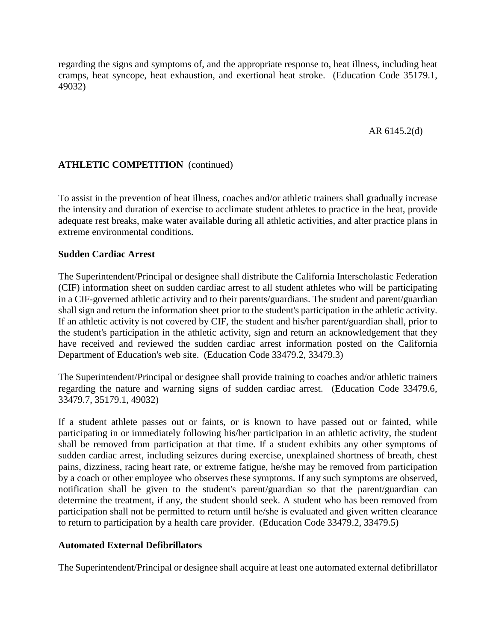regarding the signs and symptoms of, and the appropriate response to, heat illness, including heat cramps, heat syncope, heat exhaustion, and exertional heat stroke. (Education Code 35179.1, 49032)

AR 6145.2(d)

# **ATHLETIC COMPETITION** (continued)

To assist in the prevention of heat illness, coaches and/or athletic trainers shall gradually increase the intensity and duration of exercise to acclimate student athletes to practice in the heat, provide adequate rest breaks, make water available during all athletic activities, and alter practice plans in extreme environmental conditions.

## **Sudden Cardiac Arrest**

The Superintendent/Principal or designee shall distribute the California Interscholastic Federation (CIF) information sheet on sudden cardiac arrest to all student athletes who will be participating in a CIF-governed athletic activity and to their parents/guardians. The student and parent/guardian shall sign and return the information sheet prior to the student's participation in the athletic activity. If an athletic activity is not covered by CIF, the student and his/her parent/guardian shall, prior to the student's participation in the athletic activity, sign and return an acknowledgement that they have received and reviewed the sudden cardiac arrest information posted on the California Department of Education's web site. (Education Code 33479.2, 33479.3)

The Superintendent/Principal or designee shall provide training to coaches and/or athletic trainers regarding the nature and warning signs of sudden cardiac arrest. (Education Code 33479.6, 33479.7, 35179.1, 49032)

If a student athlete passes out or faints, or is known to have passed out or fainted, while participating in or immediately following his/her participation in an athletic activity, the student shall be removed from participation at that time. If a student exhibits any other symptoms of sudden cardiac arrest, including seizures during exercise, unexplained shortness of breath, chest pains, dizziness, racing heart rate, or extreme fatigue, he/she may be removed from participation by a coach or other employee who observes these symptoms. If any such symptoms are observed, notification shall be given to the student's parent/guardian so that the parent/guardian can determine the treatment, if any, the student should seek. A student who has been removed from participation shall not be permitted to return until he/she is evaluated and given written clearance to return to participation by a health care provider. (Education Code 33479.2, 33479.5)

## **Automated External Defibrillators**

The Superintendent/Principal or designee shall acquire at least one automated external defibrillator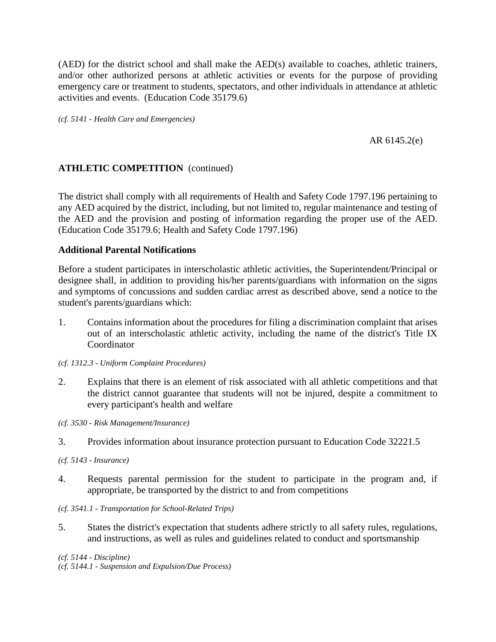(AED) for the district school and shall make the AED(s) available to coaches, athletic trainers, and/or other authorized persons at athletic activities or events for the purpose of providing emergency care or treatment to students, spectators, and other individuals in attendance at athletic activities and events. (Education Code 35179.6)

*(cf. 5141 - Health Care and Emergencies)*

## AR 6145.2(e)

# **ATHLETIC COMPETITION** (continued)

The district shall comply with all requirements of Health and Safety Code 1797.196 pertaining to any AED acquired by the district, including, but not limited to, regular maintenance and testing of the AED and the provision and posting of information regarding the proper use of the AED. (Education Code 35179.6; Health and Safety Code 1797.196)

## **Additional Parental Notifications**

Before a student participates in interscholastic athletic activities, the Superintendent/Principal or designee shall, in addition to providing his/her parents/guardians with information on the signs and symptoms of concussions and sudden cardiac arrest as described above, send a notice to the student's parents/guardians which:

1. Contains information about the procedures for filing a discrimination complaint that arises out of an interscholastic athletic activity, including the name of the district's Title IX **Coordinator** 

*(cf. 1312.3 - Uniform Complaint Procedures)*

- 2. Explains that there is an element of risk associated with all athletic competitions and that the district cannot guarantee that students will not be injured, despite a commitment to every participant's health and welfare
- *(cf. 3530 - Risk Management/Insurance)*
- 3. Provides information about insurance protection pursuant to Education Code 32221.5

*(cf. 5143 - Insurance)*

4. Requests parental permission for the student to participate in the program and, if appropriate, be transported by the district to and from competitions

#### *(cf. 3541.1 - Transportation for School-Related Trips)*

5. States the district's expectation that students adhere strictly to all safety rules, regulations, and instructions, as well as rules and guidelines related to conduct and sportsmanship

*(cf. 5144 - Discipline) (cf. 5144.1 - Suspension and Expulsion/Due Process)*